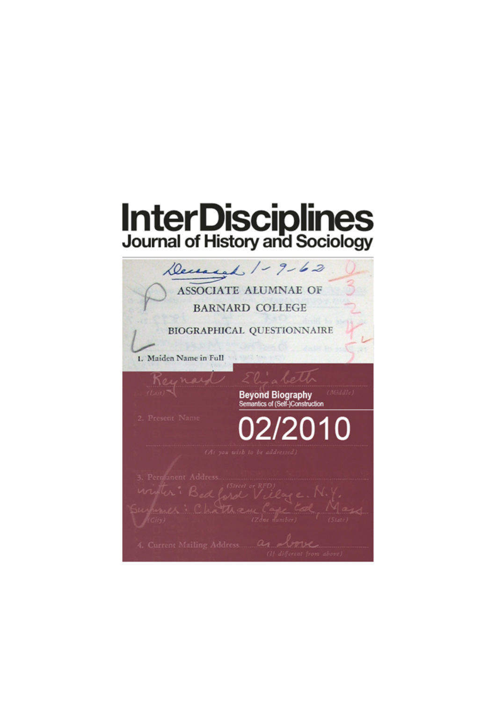## **InterDisciplines**<br>Journal of History and Sociology

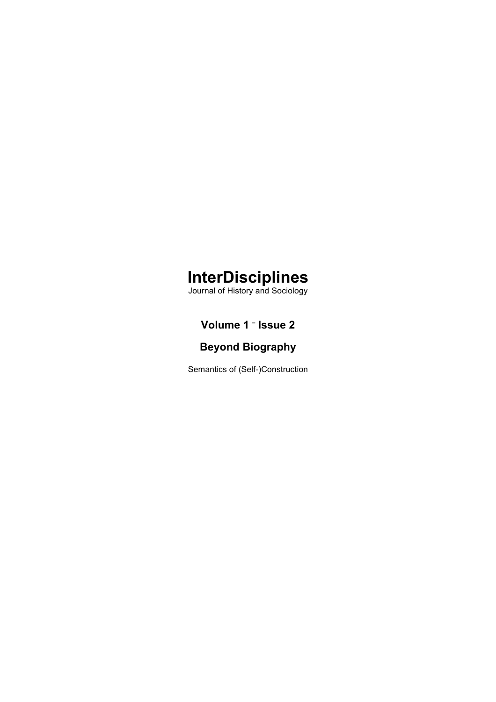### **InterDisciplines**

Journal of History and Sociology

#### **Volume 1 – Issue 2**

#### **Beyond Biography**

Semantics of (Self-)Construction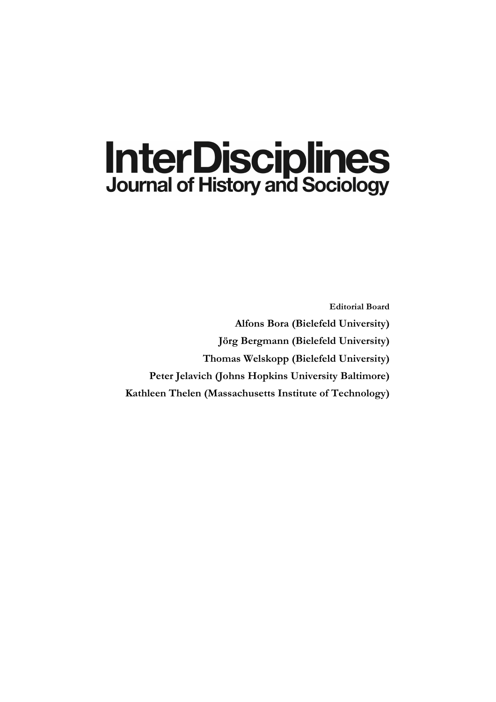# **InterDisciplines**<br>Journal of History and Sociology

**Editorial Board Alfons Bora (Bielefeld University) Jörg Bergmann (Bielefeld University) Thomas Welskopp (Bielefeld University) Peter Jelavich (Johns Hopkins University Baltimore) Kathleen Thelen (Massachusetts Institute of Technology)**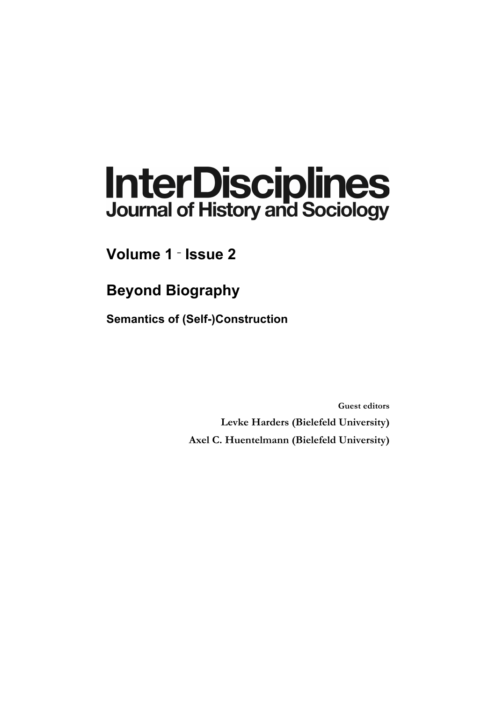# **InterDisciplines**<br>Journal of History and Sociology

**Volume 1 – Issue 2**

**Beyond Biography**

**Semantics of (Self-)Construction**

**Guest editors Levke Harders (Bielefeld University) Axel C. Huentelmann (Bielefeld University)**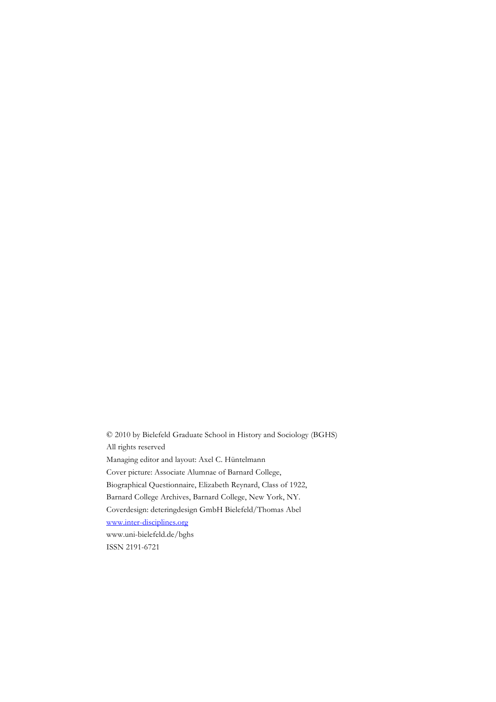© 2010 by Bielefeld Graduate School in History and Sociology (BGHS) All rights reserved Managing editor and layout: Axel C. Hüntelmann Cover picture: Associate Alumnae of Barnard College, Biographical Questionnaire, Elizabeth Reynard, Class of 1922, Barnard College Archives, Barnard College, New York, NY. Coverdesign: deteringdesign GmbH Bielefeld/Thomas Abel www.inter-disciplines.org www.uni-bielefeld.de/bghs ISSN 2191-6721